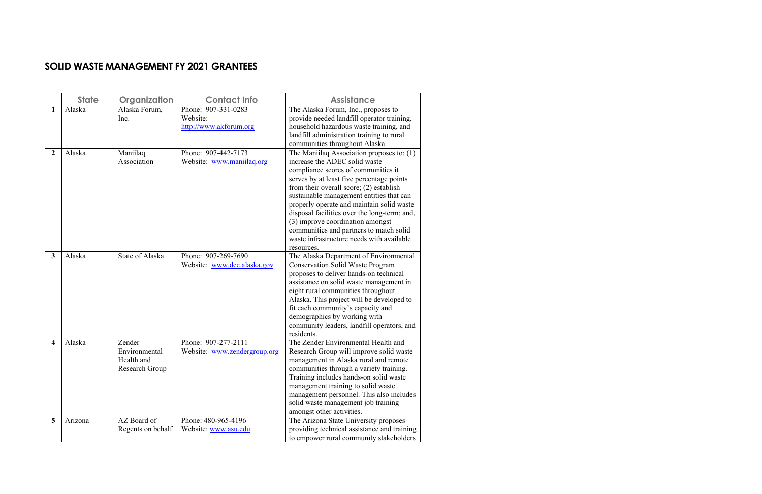## **SOLID WASTE MANAGEMENT FY 2021 GRANTEES**

|                         | <b>State</b> | Organization                                            | <b>Contact Info</b>                                       | <b>Assistance</b>                                                                                                                                                                                                                                                                                                                                                                                                                                                                            |
|-------------------------|--------------|---------------------------------------------------------|-----------------------------------------------------------|----------------------------------------------------------------------------------------------------------------------------------------------------------------------------------------------------------------------------------------------------------------------------------------------------------------------------------------------------------------------------------------------------------------------------------------------------------------------------------------------|
| 1                       | Alaska       | Alaska Forum,<br>Inc.                                   | Phone: 907-331-0283<br>Website:<br>http://www.akforum.org | The Alaska Forum, Inc., proposes to<br>provide needed landfill operator training,<br>household hazardous waste training, and<br>landfill administration training to rural<br>communities throughout Alaska.                                                                                                                                                                                                                                                                                  |
| $\overline{2}$          | Alaska       | Maniilaq<br>Association                                 | Phone: 907-442-7173<br>Website: www.maniilaq.org          | The Maniilaq Association proposes to: (1)<br>increase the ADEC solid waste<br>compliance scores of communities it<br>serves by at least five percentage points<br>from their overall score; (2) establish<br>sustainable management entities that can<br>properly operate and maintain solid waste<br>disposal facilities over the long-term; and,<br>(3) improve coordination amongst<br>communities and partners to match solid<br>waste infrastructure needs with available<br>resources. |
| $\mathbf{3}$            | Alaska       | <b>State of Alaska</b>                                  | Phone: 907-269-7690<br>Website: www.dec.alaska.gov        | The Alaska Department of Environmental<br><b>Conservation Solid Waste Program</b><br>proposes to deliver hands-on technical<br>assistance on solid waste management in<br>eight rural communities throughout<br>Alaska. This project will be developed to<br>fit each community's capacity and<br>demographics by working with<br>community leaders, landfill operators, and<br>residents.                                                                                                   |
| $\overline{\mathbf{4}}$ | Alaska       | Zender<br>Environmental<br>Health and<br>Research Group | Phone: 907-277-2111<br>Website: www.zendergroup.org       | The Zender Environmental Health and<br>Research Group will improve solid waste<br>management in Alaska rural and remote<br>communities through a variety training.<br>Training includes hands-on solid waste<br>management training to solid waste<br>management personnel. This also includes<br>solid waste management job training<br>amongst other activities.                                                                                                                           |
| 5                       | Arizona      | AZ Board of<br>Regents on behalf                        | Phone: 480-965-4196<br>Website: www.asu.edu               | The Arizona State University proposes<br>providing technical assistance and training<br>to empower rural community stakeholders                                                                                                                                                                                                                                                                                                                                                              |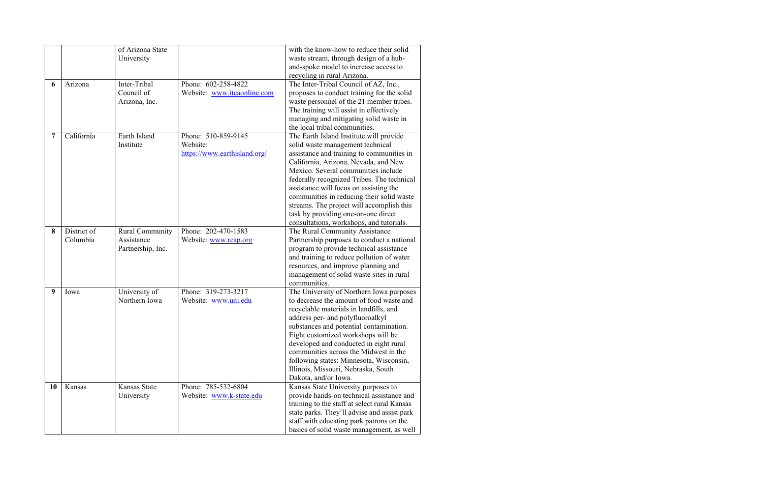|                |             | of Arizona State       |                              | with the know-how to reduce their solid                                                   |
|----------------|-------------|------------------------|------------------------------|-------------------------------------------------------------------------------------------|
|                |             | University             |                              | waste stream, through design of a hub-                                                    |
|                |             |                        |                              | and-spoke model to increase access to                                                     |
|                |             |                        |                              | recycling in rural Arizona.                                                               |
| 6              | Arizona     | Inter-Tribal           | Phone: 602-258-4822          | The Inter-Tribal Council of AZ, Inc.,                                                     |
|                |             | Council of             | Website: www.itcaonline.com  | proposes to conduct training for the solid                                                |
|                |             | Arizona, Inc.          |                              | waste personnel of the 21 member tribes.                                                  |
|                |             |                        |                              | The training will assist in effectively                                                   |
|                |             |                        |                              | managing and mitigating solid waste in                                                    |
|                |             |                        |                              | the local tribal communities.                                                             |
| $\overline{7}$ | California  | Earth Island           | Phone: 510-859-9145          | The Earth Island Institute will provide                                                   |
|                |             | Institute              | Website:                     | solid waste management technical                                                          |
|                |             |                        | https://www.earthisland.org/ | assistance and training to communities in                                                 |
|                |             |                        |                              | California, Arizona, Nevada, and New                                                      |
|                |             |                        |                              | Mexico. Several communities include                                                       |
|                |             |                        |                              | federally recognized Tribes. The technical                                                |
|                |             |                        |                              | assistance will focus on assisting the                                                    |
|                |             |                        |                              | communities in reducing their solid waste                                                 |
|                |             |                        |                              | streams. The project will accomplish this                                                 |
|                |             |                        |                              | task by providing one-on-one direct                                                       |
|                |             |                        |                              | consultations, workshops, and tutorials.                                                  |
| 8              | District of | <b>Rural Community</b> | Phone: 202-470-1583          | The Rural Community Assistance                                                            |
|                | Columbia    | Assistance             | Website: www.rcap.org        | Partnership purposes to conduct a national                                                |
|                |             | Partnership, Inc.      |                              | program to provide technical assistance                                                   |
|                |             |                        |                              | and training to reduce pollution of water                                                 |
|                |             |                        |                              | resources, and improve planning and                                                       |
|                |             |                        |                              | management of solid waste sites in rural                                                  |
|                |             |                        |                              | communities.                                                                              |
| 9              | Iowa        | University of          | Phone: 319-273-3217          | The University of Northern Iowa purposes                                                  |
|                |             | Northern Iowa          | Website: www.uni.edu         | to decrease the amount of food waste and                                                  |
|                |             |                        |                              | recyclable materials in landfills, and                                                    |
|                |             |                        |                              | address per- and polyfluoroalkyl                                                          |
|                |             |                        |                              | substances and potential contamination.                                                   |
|                |             |                        |                              | Eight customized workshops will be                                                        |
|                |             |                        |                              | developed and conducted in eight rural                                                    |
|                |             |                        |                              | communities across the Midwest in the                                                     |
|                |             |                        |                              | following states: Minnesota, Wisconsin,                                                   |
|                |             |                        |                              | Illinois, Missouri, Nebraska, South                                                       |
| <b>10</b>      | Kansas      | <b>Kansas State</b>    | Phone: 785-532-6804          | Dakota, and/or Iowa.                                                                      |
|                |             |                        |                              | Kansas State University purposes to                                                       |
|                |             | University             | Website: www.k-state.edu     | provide hands-on technical assistance and<br>training to the staff at select rural Kansas |
|                |             |                        |                              | state parks. They'll advise and assist park                                               |
|                |             |                        |                              | staff with educating park patrons on the                                                  |
|                |             |                        |                              | basics of solid waste management, as well                                                 |
|                |             |                        |                              |                                                                                           |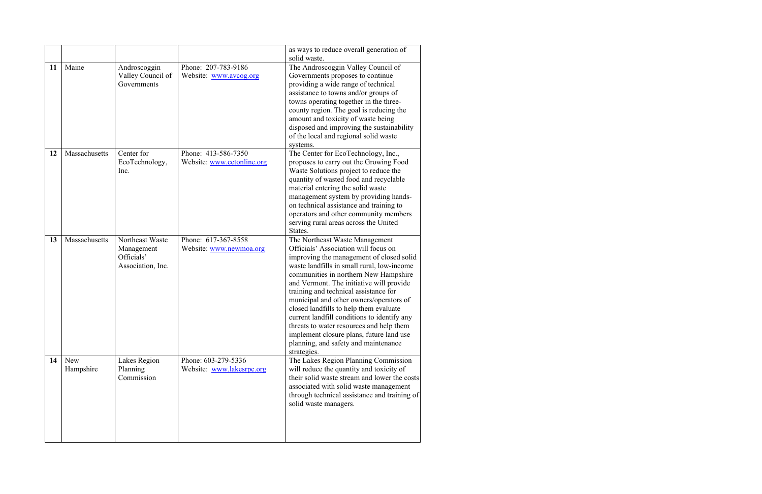|    |                         |                                                                  |                                                   | as ways to reduce overall generation of<br>solid waste.                                                                                                                                                                                                                                                                                                                                                                                                                                                                                                                           |
|----|-------------------------|------------------------------------------------------------------|---------------------------------------------------|-----------------------------------------------------------------------------------------------------------------------------------------------------------------------------------------------------------------------------------------------------------------------------------------------------------------------------------------------------------------------------------------------------------------------------------------------------------------------------------------------------------------------------------------------------------------------------------|
| 11 | Maine                   | Androscoggin<br>Valley Council of<br>Governments                 | Phone: 207-783-9186<br>Website: www.avcog.org     | The Androscoggin Valley Council of<br>Governments proposes to continue<br>providing a wide range of technical<br>assistance to towns and/or groups of<br>towns operating together in the three-<br>county region. The goal is reducing the<br>amount and toxicity of waste being<br>disposed and improving the sustainability<br>of the local and regional solid waste<br>systems.                                                                                                                                                                                                |
| 12 | Massachusetts           | Center for<br>EcoTechnology,<br>Inc.                             | Phone: 413-586-7350<br>Website: www.cetonline.org | The Center for EcoTechnology, Inc.,<br>proposes to carry out the Growing Food<br>Waste Solutions project to reduce the<br>quantity of wasted food and recyclable<br>material entering the solid waste<br>management system by providing hands-<br>on technical assistance and training to<br>operators and other community members<br>serving rural areas across the United<br>States.                                                                                                                                                                                            |
| 13 | Massachusetts           | Northeast Waste<br>Management<br>Officials'<br>Association, Inc. | Phone: 617-367-8558<br>Website: www.newmoa.org    | The Northeast Waste Management<br>Officials' Association will focus on<br>improving the management of closed solid<br>waste landfills in small rural, low-income<br>communities in northern New Hampshire<br>and Vermont. The initiative will provide<br>training and technical assistance for<br>municipal and other owners/operators of<br>closed landfills to help them evaluate<br>current landfill conditions to identify any<br>threats to water resources and help them<br>implement closure plans, future land use<br>planning, and safety and maintenance<br>strategies. |
| 14 | <b>New</b><br>Hampshire | Lakes Region<br>Planning<br>Commission                           | Phone: 603-279-5336<br>Website: www.lakesrpc.org  | The Lakes Region Planning Commission<br>will reduce the quantity and toxicity of<br>their solid waste stream and lower the costs<br>associated with solid waste management<br>through technical assistance and training of<br>solid waste managers.                                                                                                                                                                                                                                                                                                                               |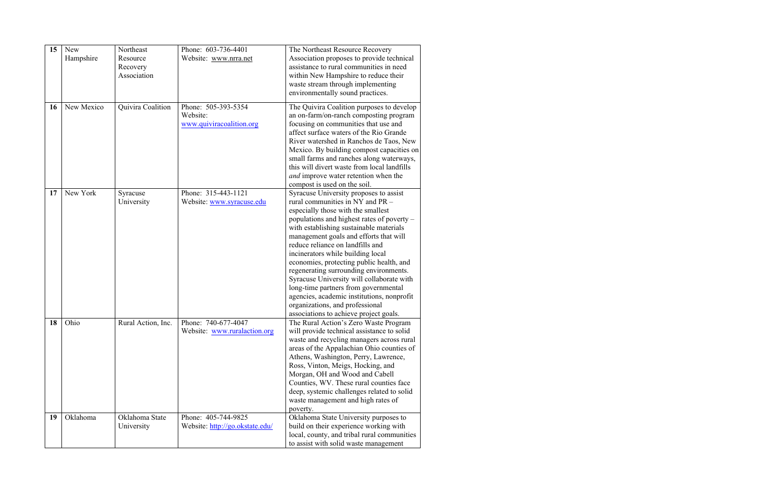| 15 | New        | Northeast          | Phone: 603-736-4401             | The Northeast Resource Recovery             |
|----|------------|--------------------|---------------------------------|---------------------------------------------|
|    | Hampshire  | Resource           | Website: www.nrra.net           | Association proposes to provide technical   |
|    |            | Recovery           |                                 | assistance to rural communities in need     |
|    |            | Association        |                                 | within New Hampshire to reduce their        |
|    |            |                    |                                 | waste stream through implementing           |
|    |            |                    |                                 | environmentally sound practices.            |
|    |            |                    |                                 |                                             |
| 16 | New Mexico | Quivira Coalition  | Phone: 505-393-5354             | The Quivira Coalition purposes to develop   |
|    |            |                    | Website:                        | an on-farm/on-ranch composting program      |
|    |            |                    | www.quiviracoalition.org        | focusing on communities that use and        |
|    |            |                    |                                 | affect surface waters of the Rio Grande     |
|    |            |                    |                                 | River watershed in Ranchos de Taos, New     |
|    |            |                    |                                 | Mexico. By building compost capacities on   |
|    |            |                    |                                 | small farms and ranches along waterways,    |
|    |            |                    |                                 | this will divert waste from local landfills |
|    |            |                    |                                 | and improve water retention when the        |
|    |            |                    |                                 | compost is used on the soil.                |
| 17 | New York   | Syracuse           | Phone: 315-443-1121             | Syracuse University proposes to assist      |
|    |            | University         | Website: www.syracuse.edu       | rural communities in NY and PR -            |
|    |            |                    |                                 | especially those with the smallest          |
|    |            |                    |                                 | populations and highest rates of poverty –  |
|    |            |                    |                                 | with establishing sustainable materials     |
|    |            |                    |                                 | management goals and efforts that will      |
|    |            |                    |                                 | reduce reliance on landfills and            |
|    |            |                    |                                 | incinerators while building local           |
|    |            |                    |                                 | economies, protecting public health, and    |
|    |            |                    |                                 | regenerating surrounding environments.      |
|    |            |                    |                                 | Syracuse University will collaborate with   |
|    |            |                    |                                 | long-time partners from governmental        |
|    |            |                    |                                 | agencies, academic institutions, nonprofit  |
|    |            |                    |                                 | organizations, and professional             |
|    |            |                    |                                 | associations to achieve project goals.      |
| 18 | Ohio       | Rural Action, Inc. | Phone: 740-677-4047             | The Rural Action's Zero Waste Program       |
|    |            |                    | Website: www.ruralaction.org    | will provide technical assistance to solid  |
|    |            |                    |                                 | waste and recycling managers across rural   |
|    |            |                    |                                 | areas of the Appalachian Ohio counties of   |
|    |            |                    |                                 | Athens, Washington, Perry, Lawrence,        |
|    |            |                    |                                 | Ross, Vinton, Meigs, Hocking, and           |
|    |            |                    |                                 | Morgan, OH and Wood and Cabell              |
|    |            |                    |                                 | Counties, WV. These rural counties face     |
|    |            |                    |                                 | deep, systemic challenges related to solid  |
|    |            |                    |                                 | waste management and high rates of          |
|    |            |                    |                                 | poverty.                                    |
| 19 | Oklahoma   | Oklahoma State     | Phone: 405-744-9825             | Oklahoma State University purposes to       |
|    |            | University         | Website: http://go.okstate.edu/ | build on their experience working with      |
|    |            |                    |                                 | local, county, and tribal rural communities |
|    |            |                    |                                 | to assist with solid waste management       |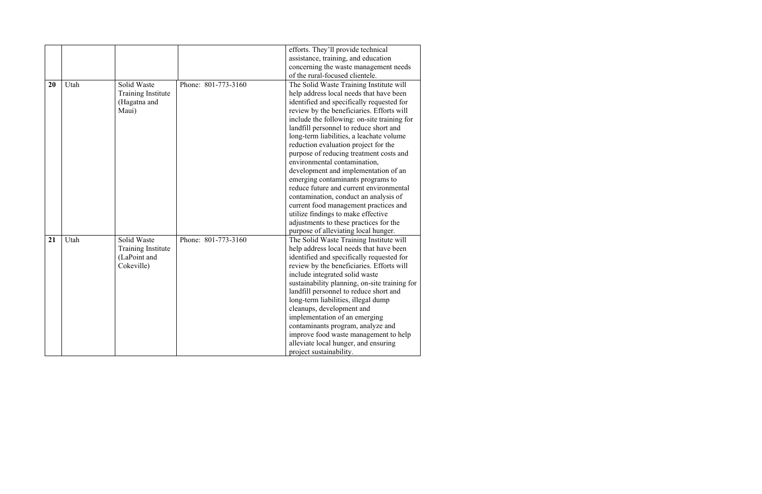|    |      |                           |                     | efforts. They'll provide technical            |
|----|------|---------------------------|---------------------|-----------------------------------------------|
|    |      |                           |                     | assistance, training, and education           |
|    |      |                           |                     | concerning the waste management needs         |
|    |      |                           |                     | of the rural-focused clientele.               |
| 20 | Utah | Solid Waste               | Phone: 801-773-3160 | The Solid Waste Training Institute will       |
|    |      | <b>Training Institute</b> |                     | help address local needs that have been       |
|    |      | (Hagatna and              |                     | identified and specifically requested for     |
|    |      | Maui)                     |                     | review by the beneficiaries. Efforts will     |
|    |      |                           |                     | include the following: on-site training for   |
|    |      |                           |                     | landfill personnel to reduce short and        |
|    |      |                           |                     | long-term liabilities, a leachate volume      |
|    |      |                           |                     | reduction evaluation project for the          |
|    |      |                           |                     | purpose of reducing treatment costs and       |
|    |      |                           |                     | environmental contamination,                  |
|    |      |                           |                     | development and implementation of an          |
|    |      |                           |                     | emerging contaminants programs to             |
|    |      |                           |                     | reduce future and current environmental       |
|    |      |                           |                     | contamination, conduct an analysis of         |
|    |      |                           |                     | current food management practices and         |
|    |      |                           |                     | utilize findings to make effective            |
|    |      |                           |                     | adjustments to these practices for the        |
|    |      |                           |                     | purpose of alleviating local hunger.          |
| 21 | Utah | Solid Waste               | Phone: 801-773-3160 | The Solid Waste Training Institute will       |
|    |      | <b>Training Institute</b> |                     | help address local needs that have been       |
|    |      | (LaPoint and              |                     | identified and specifically requested for     |
|    |      | Cokeville)                |                     | review by the beneficiaries. Efforts will     |
|    |      |                           |                     | include integrated solid waste                |
|    |      |                           |                     | sustainability planning, on-site training for |
|    |      |                           |                     | landfill personnel to reduce short and        |
|    |      |                           |                     | long-term liabilities, illegal dump           |
|    |      |                           |                     | cleanups, development and                     |
|    |      |                           |                     | implementation of an emerging                 |
|    |      |                           |                     | contaminants program, analyze and             |
|    |      |                           |                     | improve food waste management to help         |
|    |      |                           |                     | alleviate local hunger, and ensuring          |
|    |      |                           |                     | project sustainability.                       |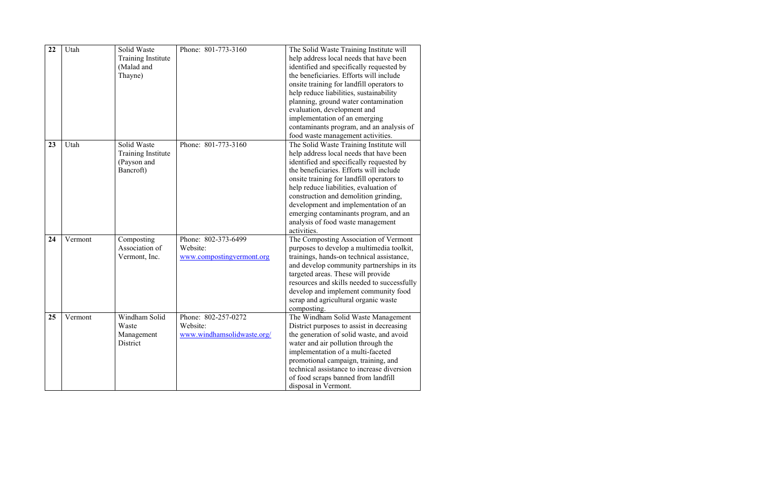| 22 | Utah    | Solid Waste<br><b>Training Institute</b><br>(Malad and<br>Thayne)    | Phone: 801-773-3160                                           | The Solid Waste Training Institute will<br>help address local needs that have been<br>identified and specifically requested by<br>the beneficiaries. Efforts will include<br>onsite training for landfill operators to<br>help reduce liabilities, sustainability<br>planning, ground water contamination<br>evaluation, development and<br>implementation of an emerging<br>contaminants program, and an analysis of<br>food waste management activities. |
|----|---------|----------------------------------------------------------------------|---------------------------------------------------------------|------------------------------------------------------------------------------------------------------------------------------------------------------------------------------------------------------------------------------------------------------------------------------------------------------------------------------------------------------------------------------------------------------------------------------------------------------------|
| 23 | Utah    | Solid Waste<br><b>Training Institute</b><br>(Payson and<br>Bancroft) | Phone: 801-773-3160                                           | The Solid Waste Training Institute will<br>help address local needs that have been<br>identified and specifically requested by<br>the beneficiaries. Efforts will include<br>onsite training for landfill operators to<br>help reduce liabilities, evaluation of<br>construction and demolition grinding,<br>development and implementation of an<br>emerging contaminants program, and an<br>analysis of food waste management<br>activities.             |
| 24 | Vermont | Composting<br>Association of<br>Vermont, Inc.                        | Phone: 802-373-6499<br>Website:<br>www.compostingvermont.org  | The Composting Association of Vermont<br>purposes to develop a multimedia toolkit,<br>trainings, hands-on technical assistance,<br>and develop community partnerships in its<br>targeted areas. These will provide<br>resources and skills needed to successfully<br>develop and implement community food<br>scrap and agricultural organic waste<br>composting.                                                                                           |
| 25 | Vermont | Windham Solid<br>Waste<br>Management<br>District                     | Phone: 802-257-0272<br>Website:<br>www.windhamsolidwaste.org/ | The Windham Solid Waste Management<br>District purposes to assist in decreasing<br>the generation of solid waste, and avoid<br>water and air pollution through the<br>implementation of a multi-faceted<br>promotional campaign, training, and<br>technical assistance to increase diversion<br>of food scraps banned from landfill<br>disposal in Vermont.                                                                                                |